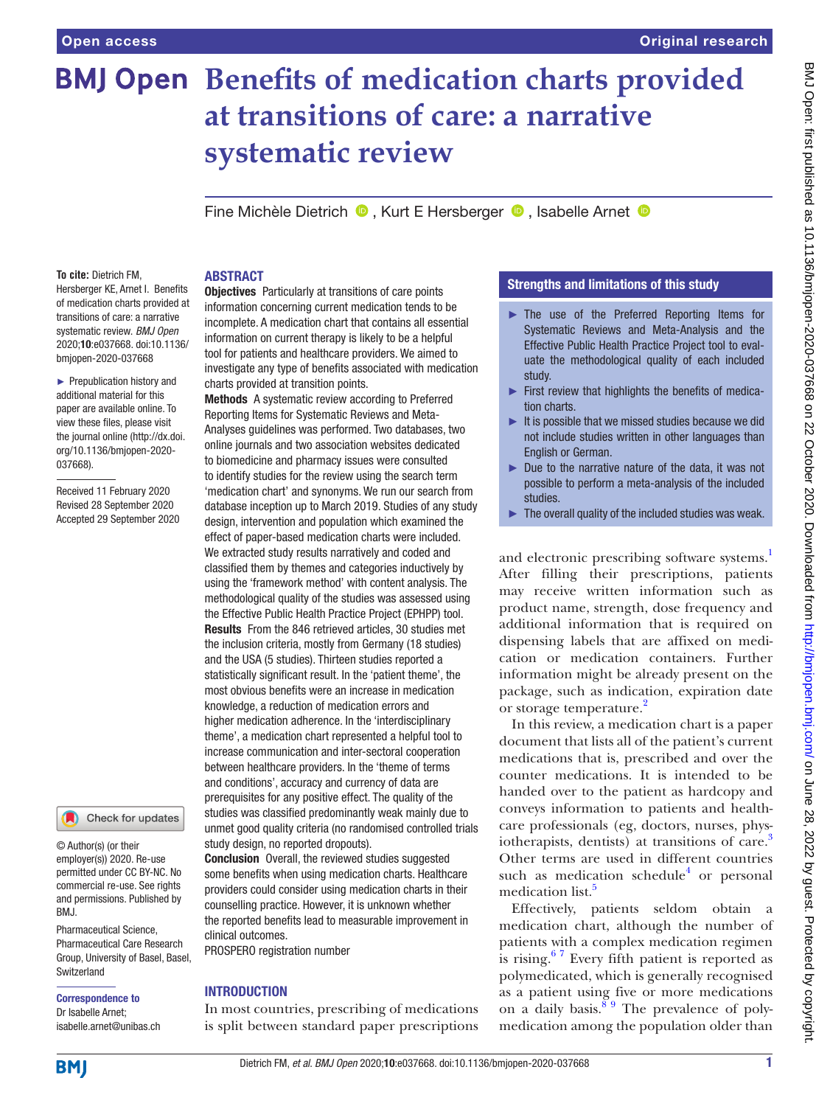# **BMJ Open Benefits of medication charts provided at transitions of care: a narrative systematic review**

Fine Michèle Dietrich <sup>1</sup>, Kurt E Hersberger <sup>1</sup>, Isabelle Arnet <sup>1</sup>

# ABSTRACT

**To cite:** Dietrich FM, Hersberger KE, Arnet I. Benefits of medication charts provided at transitions of care: a narrative systematic review. *BMJ Open* 2020;10:e037668. doi:10.1136/ bmjopen-2020-037668

► Prepublication history and additional material for this paper are available online. To view these files, please visit the journal online (http://dx.doi. org/10.1136/bmjopen-2020- 037668).

Received 11 February 2020 Revised 28 September 2020 Accepted 29 September 2020

# Check for updates

© Author(s) (or their employer(s)) 2020. Re-use permitted under CC BY-NC. No commercial re-use. See rights and permissions. Published by RM<sub>J</sub>

Pharmaceutical Science, Pharmaceutical Care Research Group, University of Basel, Basel, Switzerland

# Correspondence to Dr Isabelle Arnet;

isabelle.arnet@unibas.ch

Objectives Particularly at transitions of care points information concerning current medication tends to be incomplete. A medication chart that contains all essential information on current therapy is likely to be a helpful tool for patients and healthcare providers. We aimed to investigate any type of benefits associated with medication charts provided at transition points.

Methods A systematic review according to Preferred Reporting Items for Systematic Reviews and Meta-Analyses guidelines was performed. Two databases, two online journals and two association websites dedicated to biomedicine and pharmacy issues were consulted to identify studies for the review using the search term 'medication chart' and synonyms. We run our search from database inception up to March 2019. Studies of any study design, intervention and population which examined the effect of paper-based medication charts were included. We extracted study results narratively and coded and classified them by themes and categories inductively by using the 'framework method' with content analysis. The methodological quality of the studies was assessed using the Effective Public Health Practice Project (EPHPP) tool. Results From the 846 retrieved articles, 30 studies met the inclusion criteria, mostly from Germany (18 studies) and the USA (5 studies). Thirteen studies reported a statistically significant result. In the 'patient theme', the most obvious benefits were an increase in medication knowledge, a reduction of medication errors and higher medication adherence. In the 'interdisciplinary theme', a medication chart represented a helpful tool to increase communication and inter-sectoral cooperation between healthcare providers. In the 'theme of terms and conditions', accuracy and currency of data are prerequisites for any positive effect. The quality of the studies was classified predominantly weak mainly due to unmet good quality criteria (no randomised controlled trials study design, no reported dropouts).

**Conclusion** Overall, the reviewed studies suggested some benefits when using medication charts. Healthcare providers could consider using medication charts in their counselling practice. However, it is unknown whether the reported benefits lead to measurable improvement in clinical outcomes.

PROSPERO registration number

# INTRODUCTION

In most countries, prescribing of medications is split between standard paper prescriptions

# Strengths and limitations of this study

- ► The use of the Preferred Reporting Items for Systematic Reviews and Meta-Analysis and the Effective Public Health Practice Project tool to evaluate the methodological quality of each included study.
- ► First review that highlights the benefits of medication charts.
- $\blacktriangleright$  It is possible that we missed studies because we did not include studies written in other languages than English or German.
- ► Due to the narrative nature of the data, it was not possible to perform a meta-analysis of the included studies.
- $\blacktriangleright$  The overall quality of the included studies was weak.

and electronic prescribing software systems.<sup>1</sup> After filling their prescriptions, patients may receive written information such as product name, strength, dose frequency and additional information that is required on dispensing labels that are affixed on medication or medication containers. Further information might be already present on the package, such as indication, expiration date or storage temperature.<sup>[2](#page-7-1)</sup>

In this review, a medication chart is a paper document that lists all of the patient's current medications that is, prescribed and over the counter medications. It is intended to be handed over to the patient as hardcopy and conveys information to patients and healthcare professionals (eg, doctors, nurses, physiotherapists, dentists) at transitions of care.<sup>3</sup> Other terms are used in different countries such as medication schedule<sup>4</sup> or personal medication list.<sup>5</sup>

Effectively, patients seldom obtain a medication chart, although the number of patients with a complex medication regimen is rising. $67$  Every fifth patient is reported as polymedicated, which is generally recognised as a patient using five or more medications on a daily basis. $89$  The prevalence of polymedication among the population older than

**BMI**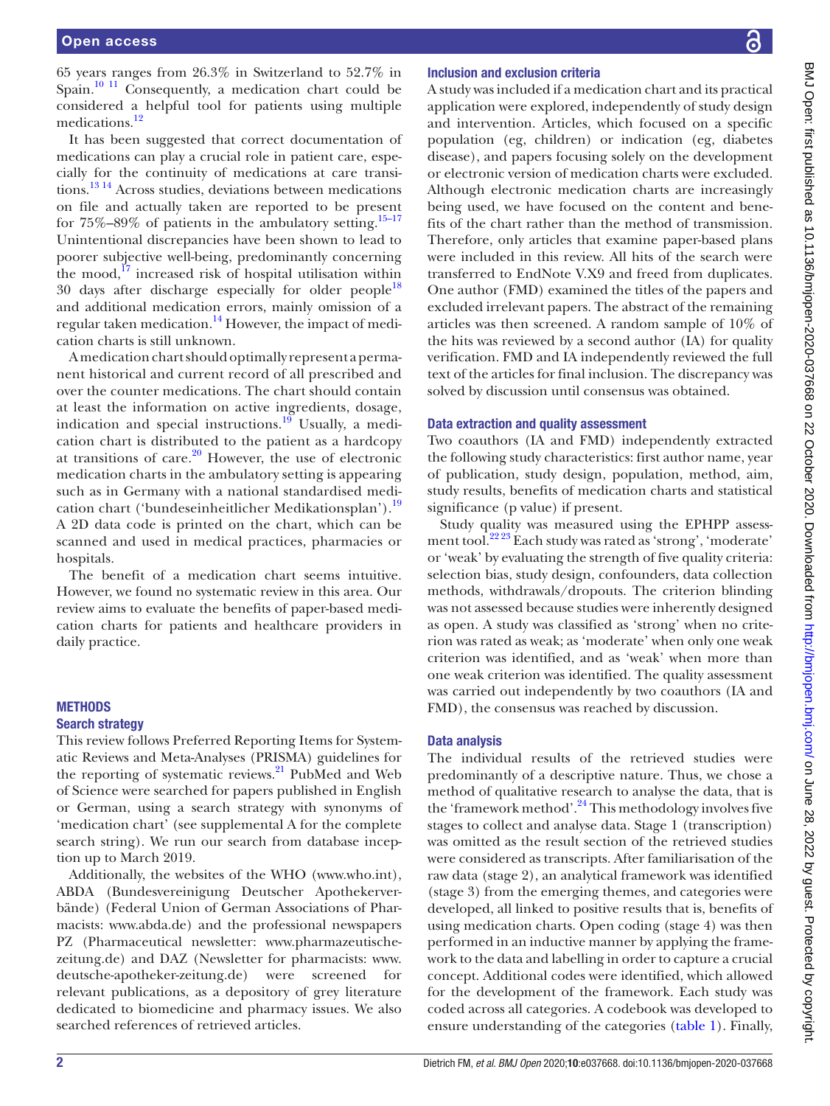65 years ranges from 26.3% in Switzerland to 52.7% in Spain. $10^{-11}$  Consequently, a medication chart could be considered a helpful tool for patients using multiple medications.<sup>[12](#page-7-8)</sup>

It has been suggested that correct documentation of medications can play a crucial role in patient care, especially for the continuity of medications at care transitions[.13 14](#page-7-9) Across studies, deviations between medications on file and actually taken are reported to be present for  $75\% - 89\%$  of patients in the ambulatory setting.<sup>15–17</sup> Unintentional discrepancies have been shown to lead to poorer subjective well-being, predominantly concerning the mood, $17$  increased risk of hospital utilisation within 30 days after discharge especially for older people<sup>[18](#page-7-12)</sup> and additional medication errors, mainly omission of a regular taken medication.<sup>14</sup> However, the impact of medication charts is still unknown.

A medication chart should optimally represent a permanent historical and current record of all prescribed and over the counter medications. The chart should contain at least the information on active ingredients, dosage, indication and special instructions. $^{19}$  Usually, a medication chart is distributed to the patient as a hardcopy at transitions of care. $20$  However, the use of electronic medication charts in the ambulatory setting is appearing such as in Germany with a national standardised medication chart ('bundeseinheitlicher Medikationsplan').[19](#page-7-14) A 2D data code is printed on the chart, which can be scanned and used in medical practices, pharmacies or hospitals.

The benefit of a medication chart seems intuitive. However, we found no systematic review in this area. Our review aims to evaluate the benefits of paper-based medication charts for patients and healthcare providers in daily practice.

# **METHODS**

# Search strategy

This review follows Preferred Reporting Items for Systematic Reviews and Meta-Analyses (PRISMA) guidelines for the reporting of systematic reviews.<sup>[21](#page-7-16)</sup> PubMed and Web of Science were searched for papers published in English or German, using a search strategy with synonyms of 'medication chart' (see [supplemental A](https://dx.doi.org/10.1136/bmjopen-2020-037668) for the complete search string). We run our search from database inception up to March 2019.

Additionally, the websites of the WHO (<www.who.int>), ABDA (Bundesvereinigung Deutscher Apothekerverbände) (Federal Union of German Associations of Pharmacists: [www.abda.de\)](www.abda.de) and the professional newspapers PZ (Pharmaceutical newsletter: [www.pharmazeutische](www.pharmazeutische-zeitung.de)[zeitung.de](www.pharmazeutische-zeitung.de)) and DAZ (Newsletter for pharmacists: [www.](www.deutsche-apotheker-zeitung.de) [deutsche-apotheker-zeitung.de](www.deutsche-apotheker-zeitung.de)) were screened for relevant publications, as a depository of grey literature dedicated to biomedicine and pharmacy issues. We also searched references of retrieved articles.

# Inclusion and exclusion criteria

A study was included if a medication chart and its practical application were explored, independently of study design and intervention. Articles, which focused on a specific population (eg, children) or indication (eg, diabetes disease), and papers focusing solely on the development or electronic version of medication charts were excluded. Although electronic medication charts are increasingly being used, we have focused on the content and benefits of the chart rather than the method of transmission. Therefore, only articles that examine paper-based plans were included in this review. All hits of the search were transferred to EndNote V.X9 and freed from duplicates. One author (FMD) examined the titles of the papers and excluded irrelevant papers. The abstract of the remaining articles was then screened. A random sample of 10% of the hits was reviewed by a second author (IA) for quality verification. FMD and IA independently reviewed the full text of the articles for final inclusion. The discrepancy was solved by discussion until consensus was obtained.

# Data extraction and quality assessment

Two coauthors (IA and FMD) independently extracted the following study characteristics: first author name, year of publication, study design, population, method, aim, study results, benefits of medication charts and statistical significance (p value) if present.

Study quality was measured using the EPHPP assessment tool.[22 23](#page-7-17) Each study was rated as 'strong', 'moderate' or 'weak' by evaluating the strength of five quality criteria: selection bias, study design, confounders, data collection methods, withdrawals/dropouts. The criterion blinding was not assessed because studies were inherently designed as open. A study was classified as 'strong' when no criterion was rated as weak; as 'moderate' when only one weak criterion was identified, and as 'weak' when more than one weak criterion was identified. The quality assessment was carried out independently by two coauthors (IA and FMD), the consensus was reached by discussion.

# Data analysis

The individual results of the retrieved studies were predominantly of a descriptive nature. Thus, we chose a method of qualitative research to analyse the data, that is the 'framework method'.<sup>24</sup> This methodology involves five stages to collect and analyse data. Stage 1 (transcription) was omitted as the result section of the retrieved studies were considered as transcripts. After familiarisation of the raw data (stage 2), an analytical framework was identified (stage 3) from the emerging themes, and categories were developed, all linked to positive results that is, benefits of using medication charts. Open coding (stage 4) was then performed in an inductive manner by applying the framework to the data and labelling in order to capture a crucial concept. Additional codes were identified, which allowed for the development of the framework. Each study was coded across all categories. A codebook was developed to ensure understanding of the categories [\(table](#page-2-0) 1). Finally,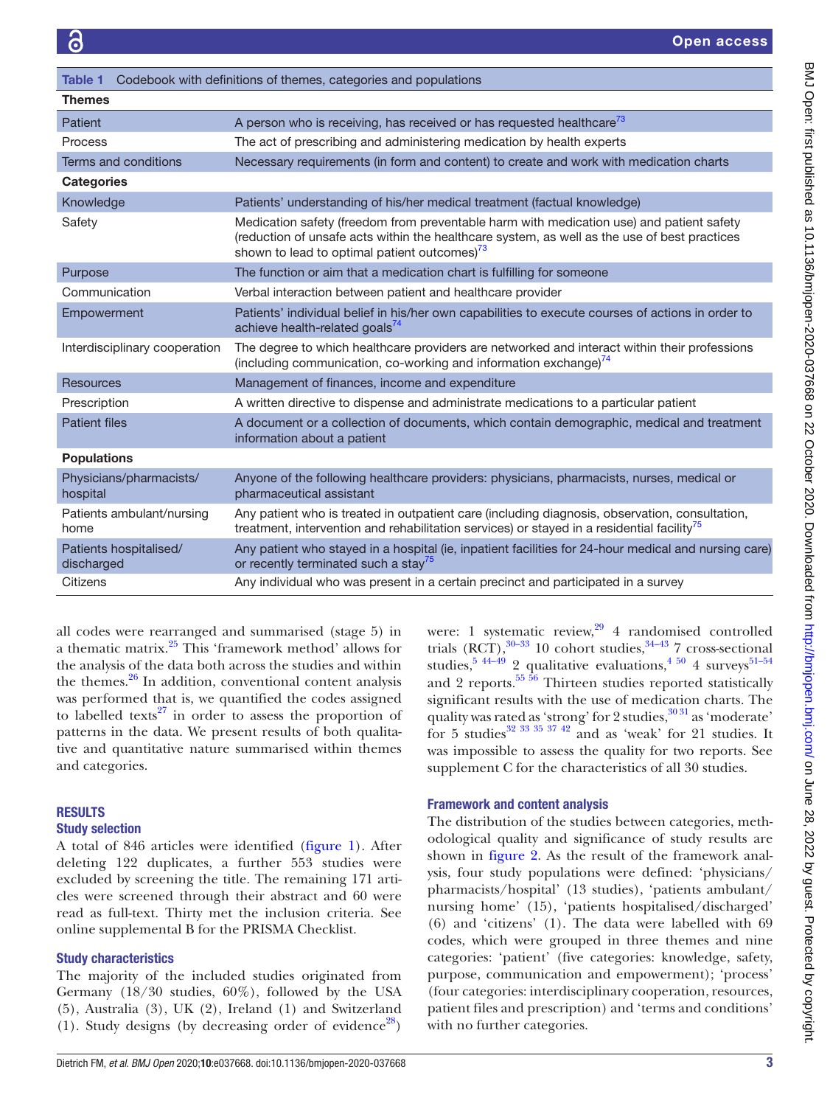<span id="page-2-0"></span>

| Codebook with definitions of themes, categories and populations<br>Table 1 |                                                                                                                                                                                                                                                |
|----------------------------------------------------------------------------|------------------------------------------------------------------------------------------------------------------------------------------------------------------------------------------------------------------------------------------------|
| <b>Themes</b>                                                              |                                                                                                                                                                                                                                                |
| Patient                                                                    | A person who is receiving, has received or has requested healthcare <sup>73</sup>                                                                                                                                                              |
| Process                                                                    | The act of prescribing and administering medication by health experts                                                                                                                                                                          |
| Terms and conditions                                                       | Necessary requirements (in form and content) to create and work with medication charts                                                                                                                                                         |
| <b>Categories</b>                                                          |                                                                                                                                                                                                                                                |
| Knowledge                                                                  | Patients' understanding of his/her medical treatment (factual knowledge)                                                                                                                                                                       |
| Safety                                                                     | Medication safety (freedom from preventable harm with medication use) and patient safety<br>(reduction of unsafe acts within the healthcare system, as well as the use of best practices<br>shown to lead to optimal patient outcomes) $^{73}$ |
| Purpose                                                                    | The function or aim that a medication chart is fulfilling for someone                                                                                                                                                                          |
| Communication                                                              | Verbal interaction between patient and healthcare provider                                                                                                                                                                                     |
| Empowerment                                                                | Patients' individual belief in his/her own capabilities to execute courses of actions in order to<br>achieve health-related goals <sup>74</sup>                                                                                                |
| Interdisciplinary cooperation                                              | The degree to which healthcare providers are networked and interact within their professions<br>(including communication, co-working and information exchange) <sup>74</sup>                                                                   |
| <b>Resources</b>                                                           | Management of finances, income and expenditure                                                                                                                                                                                                 |
| Prescription                                                               | A written directive to dispense and administrate medications to a particular patient                                                                                                                                                           |
| <b>Patient files</b>                                                       | A document or a collection of documents, which contain demographic, medical and treatment<br>information about a patient                                                                                                                       |
| <b>Populations</b>                                                         |                                                                                                                                                                                                                                                |
| Physicians/pharmacists/<br>hospital                                        | Anyone of the following healthcare providers: physicians, pharmacists, nurses, medical or<br>pharmaceutical assistant                                                                                                                          |
| Patients ambulant/nursing<br>home                                          | Any patient who is treated in outpatient care (including diagnosis, observation, consultation,<br>treatment, intervention and rehabilitation services) or stayed in a residential facility <sup>3</sup>                                        |
| Patients hospitalised/<br>discharged                                       | Any patient who stayed in a hospital (ie, inpatient facilities for 24-hour medical and nursing care)<br>or recently terminated such a stay <sup>75</sup>                                                                                       |
| Citizens                                                                   | Any individual who was present in a certain precinct and participated in a survey                                                                                                                                                              |

all codes were rearranged and summarised (stage 5) in a thematic matrix.[25](#page-7-19) This 'framework method' allows for the analysis of the data both across the studies and within the themes. $26$  In addition, conventional content analysis was performed that is, we quantified the codes assigned to labelled texts<sup>27</sup> in order to assess the proportion of patterns in the data. We present results of both qualitative and quantitative nature summarised within themes and categories.

# **RESULTS**

# Study selection

A total of 846 articles were identified ([figure](#page-3-0) 1). After deleting 122 duplicates, a further 553 studies were excluded by screening the title. The remaining 171 articles were screened through their abstract and 60 were read as full-text. Thirty met the inclusion criteria. See [online supplemental B](https://dx.doi.org/10.1136/bmjopen-2020-037668) for the PRISMA Checklist.

# Study characteristics

The majority of the included studies originated from Germany (18/30 studies, 60%), followed by the USA (5), Australia (3), UK (2), Ireland (1) and Switzerland (1). Study designs (by decreasing order of evidence<sup>28</sup>)

were: 1 systematic review, $29/4$  randomised controlled trials  $(RCT)$ ,  $30-33$  10 cohort studies,  $34-43$  7 cross-sectional studies,  $5\frac{44-49}{2}$  qualitative evaluations,  $4\frac{50}{4}$  surveys  $51-54$ and 2 reports. $55\frac{56}{10}$  Thirteen studies reported statistically significant results with the use of medication charts. The quality was rated as 'strong' for 2 studies, $3031$  as 'moderate' for 5 studies<sup>32</sup> <sup>33</sup> <sup>35</sup> <sup>37</sup> <sup>42</sup> and as 'weak' for 21 studies. It was impossible to assess the quality for two reports. See [supplement C](https://dx.doi.org/10.1136/bmjopen-2020-037668) for the characteristics of all 30 studies.

# Framework and content analysis

The distribution of the studies between categories, methodological quality and significance of study results are shown in [figure](#page-4-0) 2. As the result of the framework analysis, four study populations were defined: 'physicians/ pharmacists/hospital' (13 studies), 'patients ambulant/ nursing home' (15), 'patients hospitalised/discharged' (6) and 'citizens' (1). The data were labelled with 69 codes, which were grouped in three themes and nine categories: 'patient' (five categories: knowledge, safety, purpose, communication and empowerment); 'process' (four categories: interdisciplinary cooperation, resources, patient files and prescription) and 'terms and conditions' with no further categories.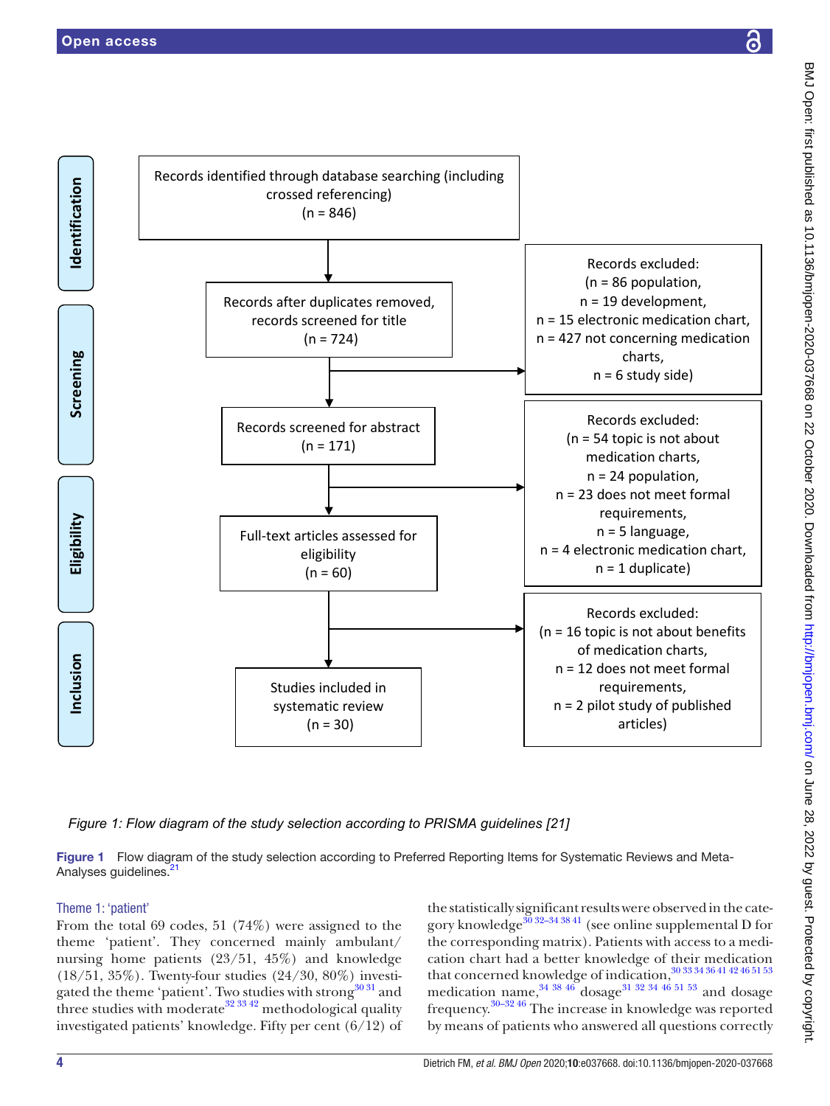

<span id="page-3-0"></span>*Figure 1: Flow diagram of the study selection according to PRISMA guidelines [21]*

Figure 1 Flow diagram of the study selection according to Preferred Reporting Items for Systematic Reviews and Meta-Analyses guidelines.<sup>21</sup>

# Theme 1: 'patient'

From the total 69 codes, 51 (74%) were assigned to the theme 'patient'. They concerned mainly ambulant/ nursing home patients (23/51, 45%) and knowledge (18/51, 35%). Twenty-four studies (24/30, 80%) investigated the theme 'patient'. Two studies with strong<sup>30 31</sup> and three studies with moderate  $32\frac{33\frac{42}{1}}{2}$  methodological quality investigated patients' knowledge. Fifty per cent (6/12) of

the statistically significant results were observed in the category knowledge<sup>30</sup> 32–34 38 41 (see [online supplemental D](https://dx.doi.org/10.1136/bmjopen-2020-037668) for the corresponding matrix). Patients with access to a medication chart had a better knowledge of their medication that concerned knowledge of indication,[30 33 34 36 41 42 46 51 53](#page-8-3) medication name,  $34\frac{38\frac{46}{6}}{30\frac{32}{6}}$  dosage<sup>31 32</sup> 34 46 51 53 and dosage frequency[.30–32 46](#page-8-3) The increase in knowledge was reported by means of patients who answered all questions correctly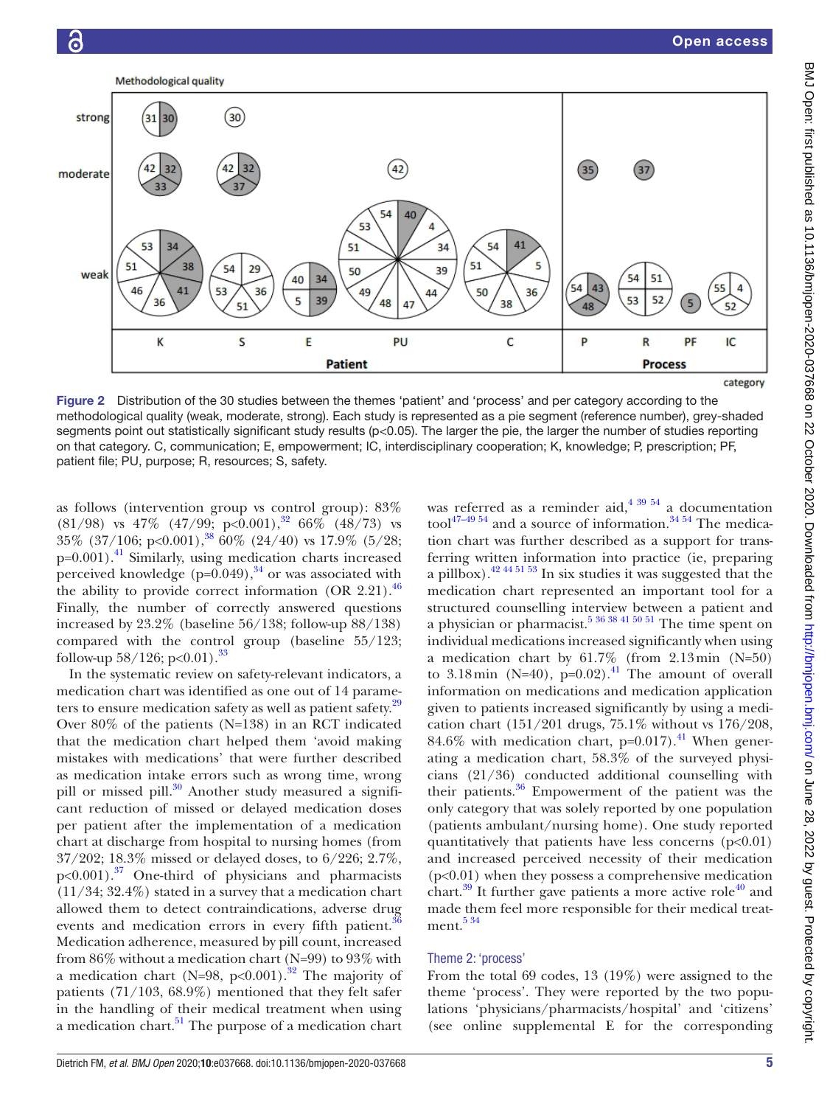

<span id="page-4-0"></span>Figure 2 Distribution of the 30 studies between the themes 'patient' and 'process' and per category according to the methodological quality (weak, moderate, strong). Each study is represented as a pie segment (reference number), grey-shaded segments point out statistically significant study results (p<0.05). The larger the pie, the larger the number of studies reporting on that category. C, communication; E, empowerment; IC, interdisciplinary cooperation; K, knowledge; P, prescription; PF, patient file; PU, purpose; R, resources; S, safety.

as follows (intervention group vs control group): 83%  $(81/98)$  vs 47%  $(47/99)$ ; p<0.001),<sup>32</sup> 66% (48/73) vs 35% (37/106; p<0.001),<sup>38</sup> 60% (24/40) vs 17.9% (5/28;  $p=0.001$ .<sup>41</sup> Similarly, using medication charts increased perceived knowledge  $(p=0.049)$ ,<sup>34</sup> or was associated with the ability to provide correct information  $(OR 2.21).$ <sup>[46](#page-8-11)</sup> Finally, the number of correctly answered questions increased by 23.2% (baseline 56/138; follow-up 88/138) compared with the control group (baseline 55/123; follow-up  $58/126$ ; p<0.01).<sup>[33](#page-8-12)</sup>

In the systematic review on safety-relevant indicators, a medication chart was identified as one out of 14 parameters to ensure medication safety as well as patient safety.<sup>29</sup> Over 80% of the patients (N=138) in an RCT indicated that the medication chart helped them 'avoid making mistakes with medications' that were further described as medication intake errors such as wrong time, wrong pill or missed pill.<sup>30</sup> Another study measured a significant reduction of missed or delayed medication doses per patient after the implementation of a medication chart at discharge from hospital to nursing homes (from 37/202; 18.3% missed or delayed doses, to 6/226; 2.7%,  $p<0.001$ ).<sup>37</sup> One-third of physicians and pharmacists (11/34; 32.4%) stated in a survey that a medication chart allowed them to detect contraindications, adverse drug events and medication errors in every fifth patient.<sup>[36](#page-8-14)</sup> Medication adherence, measured by pill count, increased from 86% without a medication chart (N=99) to 93% with a medication chart (N=98, p<0.001).<sup>[32](#page-8-7)</sup> The majority of patients (71/103, 68.9%) mentioned that they felt safer in the handling of their medical treatment when using a medication chart.<sup>[51](#page-8-5)</sup> The purpose of a medication chart

was referred as a reminder aid,  $4^{39}$  54 a documentation tool<sup>47–49</sup> <sup>54</sup> and a source of information.<sup>34 54</sup> The medication chart was further described as a support for transferring written information into practice (ie, preparing a pillbox).<sup>42 44 51 53</sup> In six studies it was suggested that the medication chart represented an important tool for a structured counselling interview between a patient and a physician or pharmacist.<sup>5 36</sup> 38  $\frac{41}{50}$  50  $\frac{51}{10}$  The time spent on individual medications increased significantly when using a medication chart by 61.7% (from 2.13min (N=50) to 3.18min (N=40),  $p=0.02$ ).<sup>[41](#page-8-10)</sup> The amount of overall information on medications and medication application given to patients increased significantly by using a medication chart (151/201 drugs, 75.1% without vs 176/208, 84.6% with medication chart,  $p=0.017$ ).<sup>41</sup> When generating a medication chart, 58.3% of the surveyed physicians (21/36) conducted additional counselling with their patients. $36$  Empowerment of the patient was the only category that was solely reported by one population (patients ambulant/nursing home). One study reported quantitatively that patients have less concerns  $(p<0.01)$ and increased perceived necessity of their medication (p<0.01) when they possess a comprehensive medication chart.<sup>39</sup> It further gave patients a more active role<sup>40</sup> and made them feel more responsible for their medical treatment. $534$ 

# Theme 2: 'process'

From the total 69 codes, 13 (19%) were assigned to the theme 'process'. They were reported by the two populations 'physicians/pharmacists/hospital' and 'citizens' (see [online supplemental E](https://dx.doi.org/10.1136/bmjopen-2020-037668) for the corresponding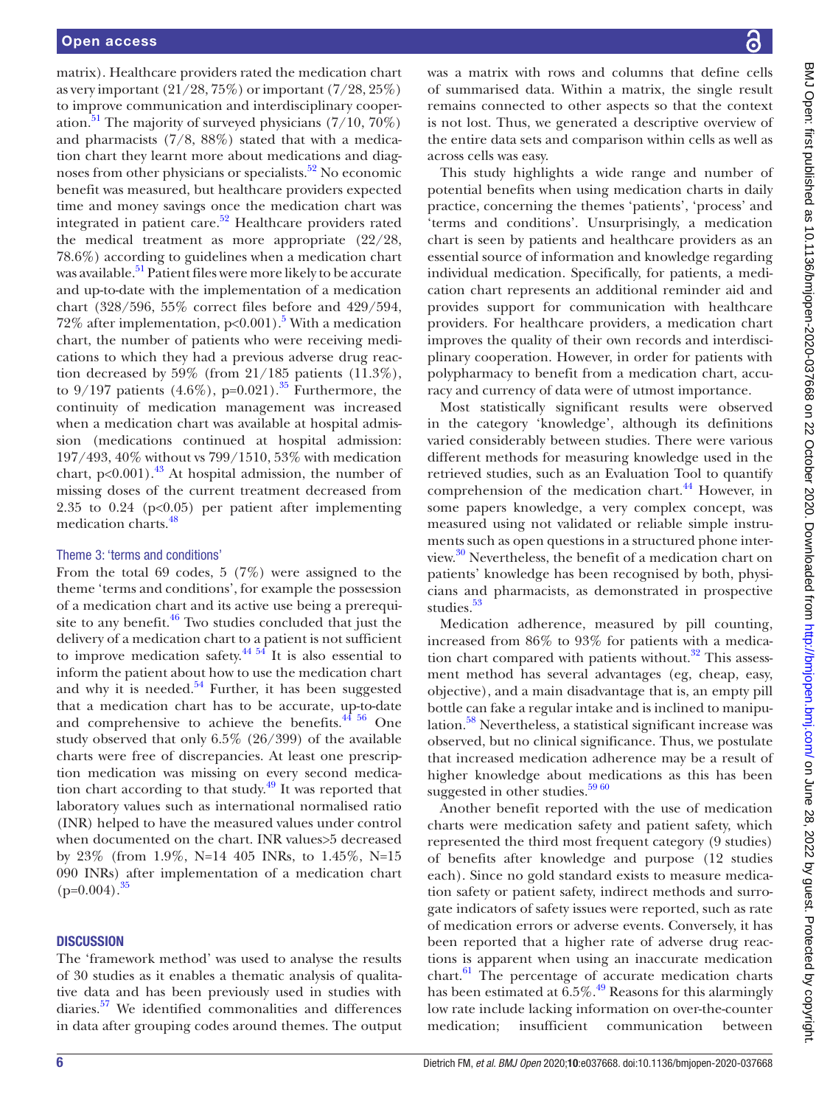matrix). Healthcare providers rated the medication chart as very important  $(21/28, 75\%)$  or important  $(7/28, 25\%)$ to improve communication and interdisciplinary cooperation.<sup>51</sup> The majority of surveyed physicians  $(7/10, 70\%)$ and pharmacists  $(7/8, 88\%)$  stated that with a medication chart they learnt more about medications and diagnoses from other physicians or specialists.<sup>52</sup> No economic benefit was measured, but healthcare providers expected time and money savings once the medication chart was integrated in patient care.<sup>52</sup> Healthcare providers rated the medical treatment as more appropriate (22/28, 78.6%) according to guidelines when a medication chart was available.<sup>51</sup> Patient files were more likely to be accurate and up-to-date with the implementation of a medication chart (328/596, 55% correct files before and 429/594, 72% after implementation,  $p<0.001$ ).<sup>5</sup> With a medication chart, the number of patients who were receiving medications to which they had a previous adverse drug reaction decreased by 59% (from 21/185 patients (11.3%), to  $9/197$  patients  $(4.6\%)$ , p=0.021).<sup>[35](#page-8-20)</sup> Furthermore, the continuity of medication management was increased when a medication chart was available at hospital admission (medications continued at hospital admission: 197/493, 40% without vs 799/1510, 53% with medication chart,  $p<0.001$ ).<sup>43</sup> At hospital admission, the number of missing doses of the current treatment decreased from 2.35 to  $0.24$  ( $p<0.05$ ) per patient after implementing medication charts[.48](#page-8-22)

# Theme 3: 'terms and conditions'

From the total 69 codes, 5 (7%) were assigned to the theme 'terms and conditions', for example the possession of a medication chart and its active use being a prerequisite to any benefit. $46$  Two studies concluded that just the delivery of a medication chart to a patient is not sufficient to improve medication safety.<sup>44 54</sup> It is also essential to inform the patient about how to use the medication chart and why it is needed. $54$  Further, it has been suggested that a medication chart has to be accurate, up-to-date and comprehensive to achieve the benefits. $44\frac{4}{10}$  One study observed that only 6.5% (26/399) of the available charts were free of discrepancies. At least one prescription medication was missing on every second medication chart according to that study. $49$  It was reported that laboratory values such as international normalised ratio (INR) helped to have the measured values under control when documented on the chart. INR values>5 decreased by 23% (from 1.9%, N=14 405 INRs, to 1.45%, N=15 090 INRs) after implementation of a medication chart  $(p=0.004)$ .<sup>[35](#page-8-20)</sup>

# **DISCUSSION**

The 'framework method' was used to analyse the results of 30 studies as it enables a thematic analysis of qualitative data and has been previously used in studies with diaries.[57](#page-8-26) We identified commonalities and differences in data after grouping codes around themes. The output

was a matrix with rows and columns that define cells of summarised data. Within a matrix, the single result remains connected to other aspects so that the context is not lost. Thus, we generated a descriptive overview of the entire data sets and comparison within cells as well as across cells was easy.

This study highlights a wide range and number of potential benefits when using medication charts in daily practice, concerning the themes 'patients', 'process' and 'terms and conditions'. Unsurprisingly, a medication chart is seen by patients and healthcare providers as an essential source of information and knowledge regarding individual medication. Specifically, for patients, a medication chart represents an additional reminder aid and provides support for communication with healthcare providers. For healthcare providers, a medication chart improves the quality of their own records and interdisciplinary cooperation. However, in order for patients with polypharmacy to benefit from a medication chart, accuracy and currency of data were of utmost importance.

Most statistically significant results were observed in the category 'knowledge', although its definitions varied considerably between studies. There were various different methods for measuring knowledge used in the retrieved studies, such as an Evaluation Tool to quantify comprehension of the medication chart.<sup>44</sup> However, in some papers knowledge, a very complex concept, was measured using not validated or reliable simple instruments such as open questions in a structured phone interview.[30](#page-8-3) Nevertheless, the benefit of a medication chart on patients' knowledge has been recognised by both, physicians and pharmacists, as demonstrated in prospective studies.<sup>[53](#page-8-27)</sup>

Medication adherence, measured by pill counting, increased from 86% to 93% for patients with a medication chart compared with patients without. $32$  This assessment method has several advantages (eg, cheap, easy, objective), and a main disadvantage that is, an empty pill bottle can fake a regular intake and is inclined to manipulation.<sup>58</sup> Nevertheless, a statistical significant increase was observed, but no clinical significance. Thus, we postulate that increased medication adherence may be a result of higher knowledge about medications as this has been suggested in other studies.<sup>59 60</sup>

Another benefit reported with the use of medication charts were medication safety and patient safety, which represented the third most frequent category (9 studies) of benefits after knowledge and purpose (12 studies each). Since no gold standard exists to measure medication safety or patient safety, indirect methods and surrogate indicators of safety issues were reported, such as rate of medication errors or adverse events. Conversely, it has been reported that a higher rate of adverse drug reactions is apparent when using an inaccurate medication chart. $61$  The percentage of accurate medication charts has been estimated at  $6.5\%$ .<sup>49</sup> Reasons for this alarmingly low rate include lacking information on over-the-counter medication; insufficient communication between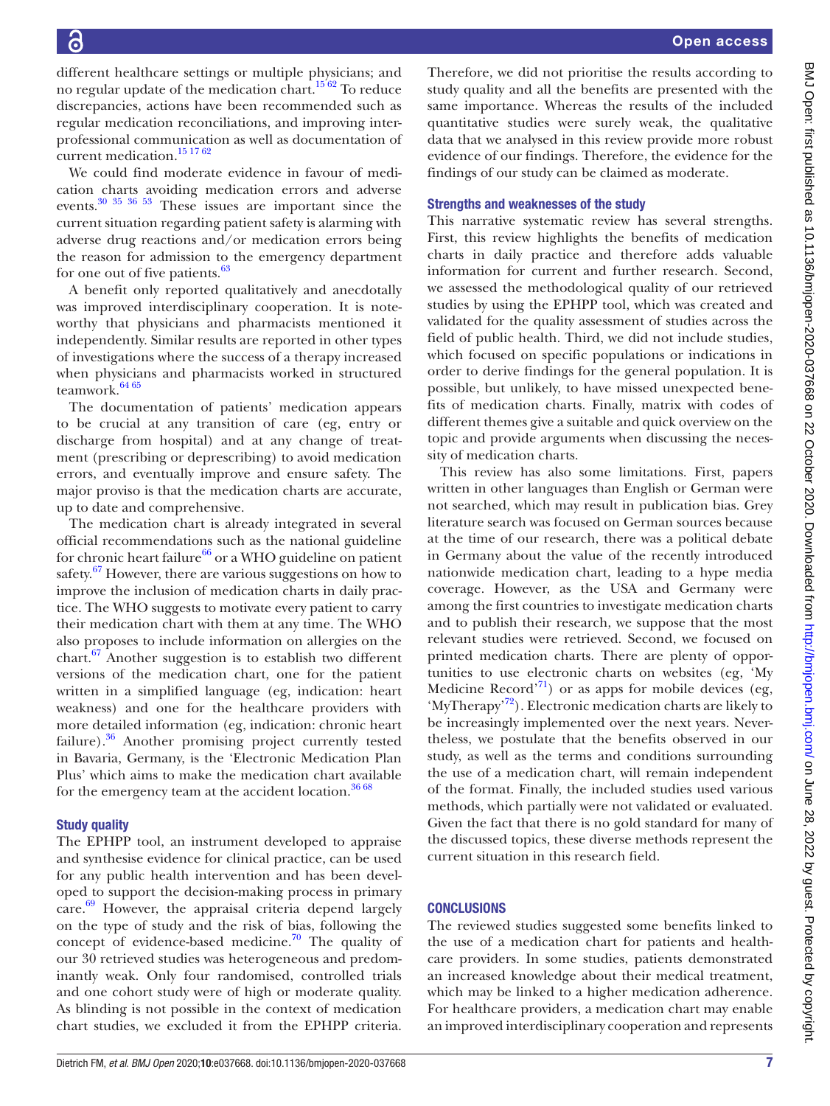Open access

different healthcare settings or multiple physicians; and no regular update of the medication chart.<sup>1562</sup> To reduce discrepancies, actions have been recommended such as regular medication reconciliations, and improving interprofessional communication as well as documentation of current medication[.15 17 62](#page-7-10) We could find moderate evidence in favour of medication charts avoiding medication errors and adverse

events[.30 35 36 53](#page-8-3) These issues are important since the current situation regarding patient safety is alarming with adverse drug reactions and/or medication errors being the reason for admission to the emergency department for one out of five patients.<sup>63</sup>

A benefit only reported qualitatively and anecdotally was improved interdisciplinary cooperation. It is noteworthy that physicians and pharmacists mentioned it independently. Similar results are reported in other types of investigations where the success of a therapy increased when physicians and pharmacists worked in structured teamwork.<sup>[64 65](#page-8-32)</sup>

The documentation of patients' medication appears to be crucial at any transition of care (eg, entry or discharge from hospital) and at any change of treatment (prescribing or deprescribing) to avoid medication errors, and eventually improve and ensure safety. The major proviso is that the medication charts are accurate, up to date and comprehensive.

The medication chart is already integrated in several official recommendations such as the national guideline for chronic heart failure<sup>66</sup> or a WHO guideline on patient safety. $67$  However, there are various suggestions on how to improve the inclusion of medication charts in daily practice. The WHO suggests to motivate every patient to carry their medication chart with them at any time. The WHO also proposes to include information on allergies on the chart. $67$  Another suggestion is to establish two different versions of the medication chart, one for the patient written in a simplified language (eg, indication: heart weakness) and one for the healthcare providers with more detailed information (eg, indication: chronic heart failure).<sup>36</sup> Another promising project currently tested in Bavaria, Germany, is the 'Electronic Medication Plan Plus' which aims to make the medication chart available for the emergency team at the accident location. $36\,68$ 

# Study quality

The EPHPP tool, an instrument developed to appraise and synthesise evidence for clinical practice, can be used for any public health intervention and has been developed to support the decision-making process in primary care.<sup>[69](#page-8-35)</sup> However, the appraisal criteria depend largely on the type of study and the risk of bias, following the concept of evidence-based medicine.<sup>70</sup> The quality of our 30 retrieved studies was heterogeneous and predominantly weak. Only four randomised, controlled trials and one cohort study were of high or moderate quality. As blinding is not possible in the context of medication chart studies, we excluded it from the EPHPP criteria.

Therefore, we did not prioritise the results according to study quality and all the benefits are presented with the same importance. Whereas the results of the included quantitative studies were surely weak, the qualitative data that we analysed in this review provide more robust evidence of our findings. Therefore, the evidence for the findings of our study can be claimed as moderate.

# Strengths and weaknesses of the study

This narrative systematic review has several strengths. First, this review highlights the benefits of medication charts in daily practice and therefore adds valuable information for current and further research. Second, we assessed the methodological quality of our retrieved studies by using the EPHPP tool, which was created and validated for the quality assessment of studies across the field of public health. Third, we did not include studies, which focused on specific populations or indications in order to derive findings for the general population. It is possible, but unlikely, to have missed unexpected benefits of medication charts. Finally, matrix with codes of different themes give a suitable and quick overview on the topic and provide arguments when discussing the necessity of medication charts.

This review has also some limitations. First, papers written in other languages than English or German were not searched, which may result in publication bias. Grey literature search was focused on German sources because at the time of our research, there was a political debate in Germany about the value of the recently introduced nationwide medication chart, leading to a hype media coverage. However, as the USA and Germany were among the first countries to investigate medication charts and to publish their research, we suppose that the most relevant studies were retrieved. Second, we focused on printed medication charts. There are plenty of opportunities to use electronic charts on websites (eg, 'My Medicine Record'<sup>71</sup>) or as apps for mobile devices (eg, 'MyTherapy'<sup>[72](#page-9-5)</sup>). Electronic medication charts are likely to be increasingly implemented over the next years. Nevertheless, we postulate that the benefits observed in our study, as well as the terms and conditions surrounding the use of a medication chart, will remain independent of the format. Finally, the included studies used various methods, which partially were not validated or evaluated. Given the fact that there is no gold standard for many of the discussed topics, these diverse methods represent the current situation in this research field.

# **CONCLUSIONS**

The reviewed studies suggested some benefits linked to the use of a medication chart for patients and healthcare providers. In some studies, patients demonstrated an increased knowledge about their medical treatment, which may be linked to a higher medication adherence. For healthcare providers, a medication chart may enable an improved interdisciplinary cooperation and represents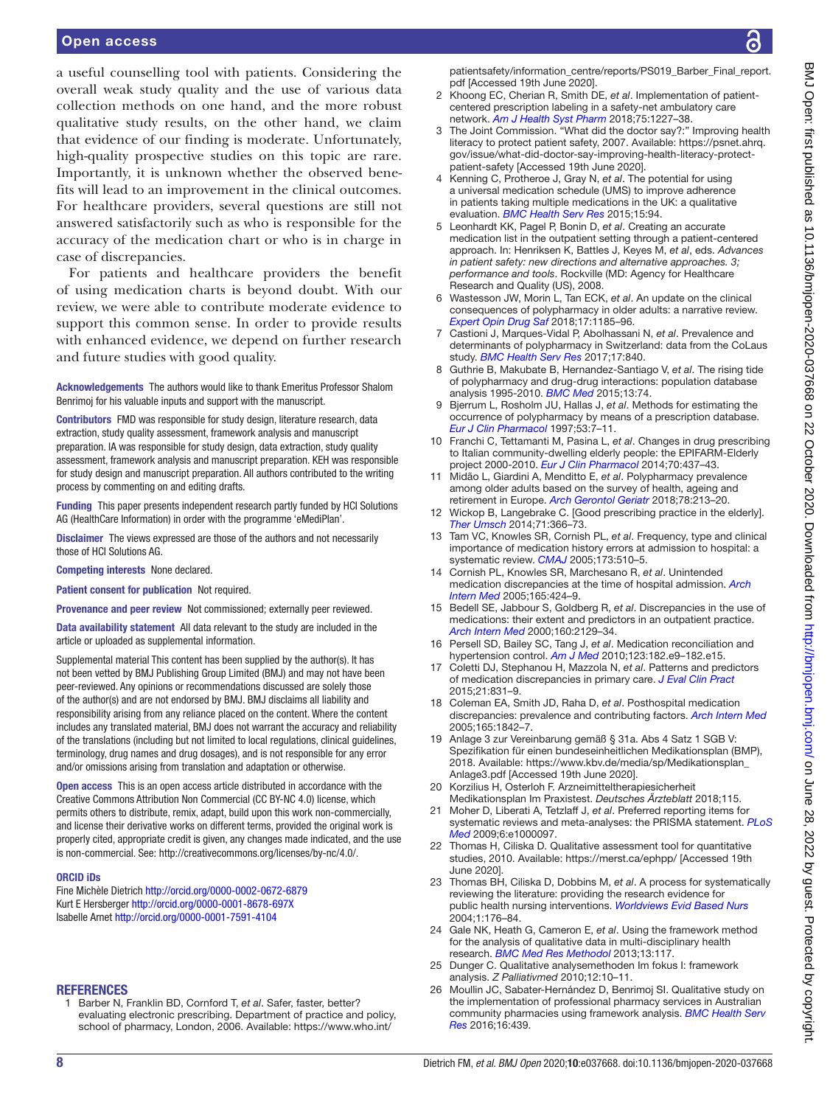# Open access

a useful counselling tool with patients. Considering the overall weak study quality and the use of various data collection methods on one hand, and the more robust qualitative study results, on the other hand, we claim that evidence of our finding is moderate. Unfortunately, high-quality prospective studies on this topic are rare. Importantly, it is unknown whether the observed benefits will lead to an improvement in the clinical outcomes. For healthcare providers, several questions are still not answered satisfactorily such as who is responsible for the accuracy of the medication chart or who is in charge in case of discrepancies.

For patients and healthcare providers the benefit of using medication charts is beyond doubt. With our review, we were able to contribute moderate evidence to support this common sense. In order to provide results with enhanced evidence, we depend on further research and future studies with good quality.

Acknowledgements The authors would like to thank Emeritus Professor Shalom Benrimoj for his valuable inputs and support with the manuscript.

Contributors FMD was responsible for study design, literature research, data extraction, study quality assessment, framework analysis and manuscript preparation. IA was responsible for study design, data extraction, study quality assessment, framework analysis and manuscript preparation. KEH was responsible for study design and manuscript preparation. All authors contributed to the writing process by commenting on and editing drafts.

Funding This paper presents independent research partly funded by HCI Solutions AG (HealthCare Information) in order with the programme 'eMediPlan'.

Disclaimer The views expressed are those of the authors and not necessarily those of HCI Solutions AG.

Competing interests None declared.

Patient consent for publication Not required.

Provenance and peer review Not commissioned; externally peer reviewed.

Data availability statement All data relevant to the study are included in the article or uploaded as supplemental information.

Supplemental material This content has been supplied by the author(s). It has not been vetted by BMJ Publishing Group Limited (BMJ) and may not have been peer-reviewed. Any opinions or recommendations discussed are solely those of the author(s) and are not endorsed by BMJ. BMJ disclaims all liability and responsibility arising from any reliance placed on the content. Where the content includes any translated material, BMJ does not warrant the accuracy and reliability of the translations (including but not limited to local regulations, clinical guidelines, terminology, drug names and drug dosages), and is not responsible for any error and/or omissions arising from translation and adaptation or otherwise.

Open access This is an open access article distributed in accordance with the Creative Commons Attribution Non Commercial (CC BY-NC 4.0) license, which permits others to distribute, remix, adapt, build upon this work non-commercially, and license their derivative works on different terms, provided the original work is properly cited, appropriate credit is given, any changes made indicated, and the use is non-commercial. See: [http://creativecommons.org/licenses/by-nc/4.0/.](http://creativecommons.org/licenses/by-nc/4.0/)

#### ORCID iDs

Fine Michèle Dietrich<http://orcid.org/0000-0002-0672-6879> Kurt E Hersberger <http://orcid.org/0000-0001-8678-697X> Isabelle Arnet <http://orcid.org/0000-0001-7591-4104>

### **REFERENCES**

<span id="page-7-0"></span>1 Barber N, Franklin BD, Cornford T, *et al*. Safer, faster, better? evaluating electronic prescribing. Department of practice and policy, school of pharmacy, London, 2006. Available: [https://www.who.int/](https://www.who.int/patientsafety/information_centre/reports/PS019_Barber_Final_report.pdf)

[patientsafety/information\\_centre/reports/PS019\\_Barber\\_Final\\_report.](https://www.who.int/patientsafety/information_centre/reports/PS019_Barber_Final_report.pdf) [pdf](https://www.who.int/patientsafety/information_centre/reports/PS019_Barber_Final_report.pdf) [Accessed 19th June 2020].

- <span id="page-7-1"></span>2 Khoong EC, Cherian R, Smith DE, *et al*. Implementation of patientcentered prescription labeling in a safety-net ambulatory care network. *[Am J Health Syst Pharm](http://dx.doi.org/10.2146/ajhp170821)* 2018;75:1227–38.
- <span id="page-7-2"></span>3 The Joint Commission. "What did the doctor say?:" Improving health literacy to protect patient safety, 2007. Available: [https://psnet.ahrq.](https://psnet.ahrq.gov/issue/what-did-doctor-say-improving-health-literacy-protect-patient-safety) [gov/issue/what-did-doctor-say-improving-health-literacy-protect](https://psnet.ahrq.gov/issue/what-did-doctor-say-improving-health-literacy-protect-patient-safety)[patient-safety](https://psnet.ahrq.gov/issue/what-did-doctor-say-improving-health-literacy-protect-patient-safety) [Accessed 19th June 2020].
- <span id="page-7-3"></span>4 Kenning C, Protheroe J, Gray N, *et al*. The potential for using a universal medication schedule (UMS) to improve adherence in patients taking multiple medications in the UK: a qualitative evaluation. *[BMC Health Serv Res](http://dx.doi.org/10.1186/s12913-015-0749-8)* 2015;15:94.
- <span id="page-7-4"></span>5 Leonhardt KK, Pagel P, Bonin D, *et al*. Creating an accurate medication list in the outpatient setting through a patient-centered approach. In: Henriksen K, Battles J, Keyes M, *et al*, eds. *Advances in patient safety: new directions and alternative approaches. 3; performance and tools*. Rockville (MD: Agency for Healthcare Research and Quality (US), 2008.
- <span id="page-7-5"></span>6 Wastesson JW, Morin L, Tan ECK, *et al*. An update on the clinical consequences of polypharmacy in older adults: a narrative review. *[Expert Opin Drug Saf](http://dx.doi.org/10.1080/14740338.2018.1546841)* 2018;17:1185–96.
- 7 Castioni J, Marques-Vidal P, Abolhassani N, *et al*. Prevalence and determinants of polypharmacy in Switzerland: data from the CoLaus study. *[BMC Health Serv Res](http://dx.doi.org/10.1186/s12913-017-2793-z)* 2017;17:840.
- <span id="page-7-6"></span>8 Guthrie B, Makubate B, Hernandez-Santiago V, *et al*. The rising tide of polypharmacy and drug-drug interactions: population database analysis 1995-2010. *[BMC Med](http://dx.doi.org/10.1186/s12916-015-0322-7)* 2015;13:74.
- 9 Bjerrum L, Rosholm JU, Hallas J, *et al*. Methods for estimating the occurrence of polypharmacy by means of a prescription database. *[Eur J Clin Pharmacol](http://dx.doi.org/10.1007/s002280050329)* 1997;53:7–11.
- <span id="page-7-7"></span>10 Franchi C, Tettamanti M, Pasina L, *et al*. Changes in drug prescribing to Italian community-dwelling elderly people: the EPIFARM-Elderly project 2000-2010. *[Eur J Clin Pharmacol](http://dx.doi.org/10.1007/s00228-013-1621-6)* 2014;70:437–43.
- 11 Midão L, Giardini A, Menditto E, *et al*. Polypharmacy prevalence among older adults based on the survey of health, ageing and retirement in Europe. *[Arch Gerontol Geriatr](http://dx.doi.org/10.1016/j.archger.2018.06.018)* 2018;78:213–20.
- <span id="page-7-8"></span>12 Wickop B, Langebrake C. [Good prescribing practice in the elderly]. *[Ther Umsch](http://dx.doi.org/10.1024/0040-5930/a000524)* 2014;71:366–73.
- <span id="page-7-9"></span>13 Tam VC, Knowles SR, Cornish PL, *et al*. Frequency, type and clinical importance of medication history errors at admission to hospital: a systematic review. *[CMAJ](http://dx.doi.org/10.1503/cmaj.045311)* 2005;173:510–5.
- <span id="page-7-13"></span>14 Cornish PL, Knowles SR, Marchesano R, *et al*. Unintended medication discrepancies at the time of hospital admission. *[Arch](http://dx.doi.org/10.1001/archinte.165.4.424)  [Intern Med](http://dx.doi.org/10.1001/archinte.165.4.424)* 2005;165:424–9.
- <span id="page-7-10"></span>15 Bedell SE, Jabbour S, Goldberg R, *et al*. Discrepancies in the use of medications: their extent and predictors in an outpatient practice. *[Arch Intern Med](http://dx.doi.org/10.1001/archinte.160.14.2129)* 2000;160:2129–34.
- 16 Persell SD, Bailey SC, Tang J, *et al*. Medication reconciliation and hypertension control. *[Am J Med](http://dx.doi.org/10.1016/j.amjmed.2009.06.027)* 2010;123:182.e9–182.e15.
- <span id="page-7-11"></span>17 Coletti DJ, Stephanou H, Mazzola N, *et al*. Patterns and predictors of medication discrepancies in primary care. *[J Eval Clin Pract](http://dx.doi.org/10.1111/jep.12387)* 2015;21:831–9.
- <span id="page-7-12"></span>18 Coleman EA, Smith JD, Raha D, *et al*. Posthospital medication discrepancies: prevalence and contributing factors. *[Arch Intern Med](http://dx.doi.org/10.1001/archinte.165.16.1842)* 2005;165:1842–7.
- <span id="page-7-14"></span>19 Anlage 3 zur Vereinbarung gemäß § 31a. Abs 4 Satz 1 SGB V: Spezifikation für einen bundeseinheitlichen Medikationsplan (BMP), 2018. Available: [https://www.kbv.de/media/sp/Medikationsplan\\_](https://www.kbv.de/media/sp/Medikationsplan_Anlage3.pdf) [Anlage3.pdf](https://www.kbv.de/media/sp/Medikationsplan_Anlage3.pdf) [Accessed 19th June 2020].
- <span id="page-7-15"></span>20 Korzilius H, Osterloh F. Arzneimitteltherapiesicherheit Medikationsplan Im Praxistest. *Deutsches Ärzteblatt* 2018;115.
- <span id="page-7-16"></span>21 Moher D, Liberati A, Tetzlaff J, *et al*. Preferred reporting items for systematic reviews and meta-analyses: the PRISMA statement. *[PLoS](http://dx.doi.org/10.1371/journal.pmed.1000097)  [Med](http://dx.doi.org/10.1371/journal.pmed.1000097)* 2009;6:e1000097.
- <span id="page-7-17"></span>22 Thomas H, Ciliska D. Qualitative assessment tool for quantitative studies, 2010. Available:<https://merst.ca/ephpp/>[Accessed 19th June 2020].
- 23 Thomas BH, Ciliska D, Dobbins M, *et al*. A process for systematically reviewing the literature: providing the research evidence for public health nursing interventions. *[Worldviews Evid Based Nurs](http://dx.doi.org/10.1111/j.1524-475X.2004.04006.x)* 2004;1:176–84.
- <span id="page-7-18"></span>24 Gale NK, Heath G, Cameron E, *et al*. Using the framework method for the analysis of qualitative data in multi-disciplinary health research. *[BMC Med Res Methodol](http://dx.doi.org/10.1186/1471-2288-13-117)* 2013;13:117.
- <span id="page-7-19"></span>25 Dunger C. Qualitative analysemethoden Im fokus I: framework analysis. *Z Palliativmed* 2010;12:10–11.
- <span id="page-7-20"></span>26 Moullin JC, Sabater-Hernández D, Benrimoj SI. Qualitative study on the implementation of professional pharmacy services in Australian community pharmacies using framework analysis. *[BMC Health Serv](http://dx.doi.org/10.1186/s12913-016-1689-7)  [Res](http://dx.doi.org/10.1186/s12913-016-1689-7)* 2016;16:439.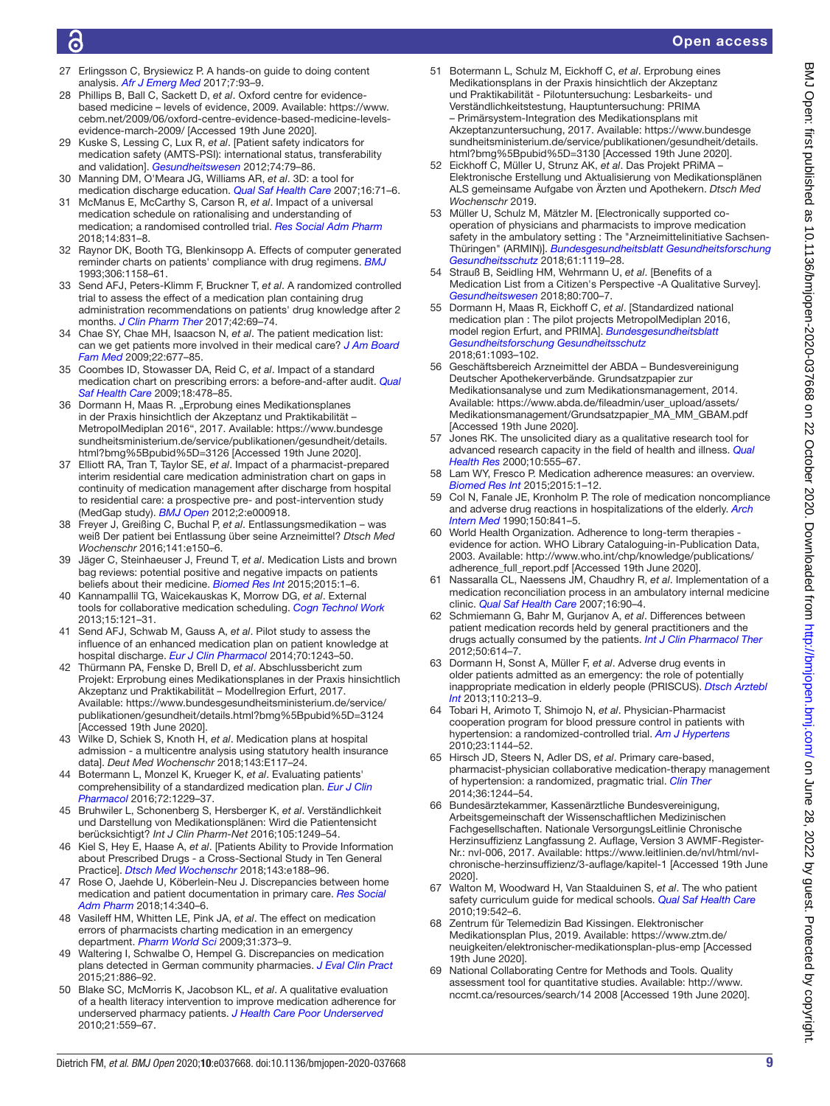# Open access

- <span id="page-8-0"></span>27 Erlingsson C, Brysiewicz P. A hands-on guide to doing content analysis. *[Afr J Emerg Med](http://dx.doi.org/10.1016/j.afjem.2017.08.001)* 2017;7:93–9.
- <span id="page-8-1"></span>28 Phillips B, Ball C, Sackett D, *et al*. Oxford centre for evidencebased medicine – levels of evidence, 2009. Available: [https://www.](https://www.cebm.net/2009/06/oxford-centre-evidence-based-medicine-levels-evidence-march-2009/) [cebm.net/2009/06/oxford-centre-evidence-based-medicine-levels](https://www.cebm.net/2009/06/oxford-centre-evidence-based-medicine-levels-evidence-march-2009/)[evidence-march-2009/](https://www.cebm.net/2009/06/oxford-centre-evidence-based-medicine-levels-evidence-march-2009/) [Accessed 19th June 2020].
- <span id="page-8-2"></span>29 Kuske S, Lessing C, Lux R, *et al*. [Patient safety indicators for medication safety (AMTS-PSI): international status, transferability and validation]. *[Gesundheitswesen](http://dx.doi.org/10.1055/s-0030-1269838)* 2012;74:79–86.
- <span id="page-8-3"></span>30 Manning DM, O'Meara JG, Williams AR, *et al*. 3D: a tool for medication discharge education. *[Qual Saf Health Care](http://dx.doi.org/10.1136/qshc.2006.018564)* 2007;16:71–6.
- <span id="page-8-8"></span>31 McManus E, McCarthy S, Carson R, *et al*. Impact of a universal medication schedule on rationalising and understanding of medication; a randomised controlled trial. *[Res Social Adm Pharm](http://dx.doi.org/10.1016/j.sapharm.2018.02.001)*
- <span id="page-8-7"></span>2018;14:831–8. 32 Raynor DK, Booth TG, Blenkinsopp A. Effects of computer generated reminder charts on patients' compliance with drug regimens. *[BMJ](http://dx.doi.org/10.1136/bmj.306.6886.1158)* 1993;306:1158–61.
- <span id="page-8-12"></span>33 Send AFJ, Peters-Klimm F, Bruckner T, *et al*. A randomized controlled trial to assess the effect of a medication plan containing drug administration recommendations on patients' drug knowledge after 2 months. *[J Clin Pharm Ther](http://dx.doi.org/10.1111/jcpt.12476)* 2017;42:69–74.
- <span id="page-8-4"></span>34 Chae SY, Chae MH, Isaacson N, *et al*. The patient medication list: can we get patients more involved in their medical care? *[J Am Board](http://dx.doi.org/10.3122/jabfm.2009.06.090059)  [Fam Med](http://dx.doi.org/10.3122/jabfm.2009.06.090059)* 2009;22:677–85.
- <span id="page-8-20"></span>35 Coombes ID, Stowasser DA, Reid C, *et al*. Impact of a standard medication chart on prescribing errors: a before-and-after audit. *[Qual](http://dx.doi.org/10.1136/qshc.2007.025296)  [Saf Health Care](http://dx.doi.org/10.1136/qshc.2007.025296)* 2009;18:478–85.
- <span id="page-8-14"></span>36 Dormann H, Maas R. "Erprobung eines Medikationsplanes in der Praxis hinsichtlich der Akzeptanz und Praktikabilität – MetropolMediplan 2016", 2017. Available: [https://www.bundesge](https://www.bundesgesundheitsministerium.de/service/publikationen/gesundheit/details.html?bmg%5Bpubid%5D=3126) [sundheitsministerium.de/service/publikationen/gesundheit/details.](https://www.bundesgesundheitsministerium.de/service/publikationen/gesundheit/details.html?bmg%5Bpubid%5D=3126) [html?bmg%5Bpubid%5D=3126](https://www.bundesgesundheitsministerium.de/service/publikationen/gesundheit/details.html?bmg%5Bpubid%5D=3126) [Accessed 19th June 2020].
- <span id="page-8-13"></span>37 Elliott RA, Tran T, Taylor SE, *et al*. Impact of a pharmacist-prepared interim residential care medication administration chart on gaps in continuity of medication management after discharge from hospital to residential care: a prospective pre- and post-intervention study (MedGap study). *[BMJ Open](http://dx.doi.org/10.1136/bmjopen-2012-000918)* 2012;2:e000918.
- <span id="page-8-9"></span>38 Freyer J, Greißing C, Buchal P, *et al*. Entlassungsmedikation – was weiß Der patient bei Entlassung über seine Arzneimittel? *Dtsch Med Wochenschr* 2016;141:e150–6.
- <span id="page-8-17"></span>39 Jäger C, Steinhaeuser J, Freund T, *et al*. Medication Lists and brown bag reviews: potential positive and negative impacts on patients beliefs about their medicine. *[Biomed Res Int](http://dx.doi.org/10.1155/2015/874067)* 2015;2015:1–6.
- <span id="page-8-18"></span>40 Kannampallil TG, Waicekauskas K, Morrow DG, *et al*. External tools for collaborative medication scheduling. *[Cogn Technol Work](http://dx.doi.org/10.1007/s10111-011-0190-7)* 2013;15:121–31.
- <span id="page-8-10"></span>41 Send AFJ, Schwab M, Gauss A, *et al*. Pilot study to assess the influence of an enhanced medication plan on patient knowledge at hospital discharge. *[Eur J Clin Pharmacol](http://dx.doi.org/10.1007/s00228-014-1723-9)* 2014;70:1243–50.
- <span id="page-8-16"></span>42 Thürmann PA, Fenske D, Brell D, *et al*. Abschlussbericht zum Projekt: Erprobung eines Medikationsplanes in der Praxis hinsichtlich Akzeptanz und Praktikabilität – Modellregion Erfurt, 2017. Available: [https://www.bundesgesundheitsministerium.de/service/](https://www.bundesgesundheitsministerium.de/service/publikationen/gesundheit/details.html?bmg%5Bpubid%5D=3124) [publikationen/gesundheit/details.html?bmg%5Bpubid%5D=3124](https://www.bundesgesundheitsministerium.de/service/publikationen/gesundheit/details.html?bmg%5Bpubid%5D=3124)  [Accessed 19th June 2020].
- <span id="page-8-21"></span>43 Wilke D, Schiek S, Knoth H, *et al*. Medication plans at hospital admission - a multicentre analysis using statutory health insurance data]. *Deut Med Wochenschr* 2018;143:E117–24.
- <span id="page-8-23"></span>44 Botermann L, Monzel K, Krueger K, *et al*. Evaluating patients' comprehensibility of a standardized medication plan. *[Eur J Clin](http://dx.doi.org/10.1007/s00228-016-2082-5)  [Pharmacol](http://dx.doi.org/10.1007/s00228-016-2082-5)* 2016;72:1229–37.
- 45 Bruhwiler L, Schonenberg S, Hersberger K, *et al*. Verständlichkeit und Darstellung von Medikationsplänen: Wird die Patientensicht berücksichtigt? *Int J Clin Pharm-Net* 2016;105:1249–54.
- <span id="page-8-11"></span>46 Kiel S, Hey E, Haase A, *et al*. [Patients Ability to Provide Information about Prescribed Drugs - a Cross-Sectional Study in Ten General Practice]. *[Dtsch Med Wochenschr](http://dx.doi.org/10.1055/a-0666-5995)* 2018;143:e188–96.
- <span id="page-8-15"></span>47 Rose O, Jaehde U, Köberlein-Neu J. Discrepancies between home medication and patient documentation in primary care. *[Res Social](http://dx.doi.org/10.1016/j.sapharm.2017.04.003)  [Adm Pharm](http://dx.doi.org/10.1016/j.sapharm.2017.04.003)* 2018;14:340–6.
- <span id="page-8-22"></span>48 Vasileff HM, Whitten LE, Pink JA, *et al*. The effect on medication errors of pharmacists charting medication in an emergency department. *[Pharm World Sci](http://dx.doi.org/10.1007/s11096-008-9271-y)* 2009;31:373–9.
- <span id="page-8-25"></span>49 Waltering I, Schwalbe O, Hempel G. Discrepancies on medication plans detected in German community pharmacies. *[J Eval Clin Pract](http://dx.doi.org/10.1111/jep.12395)* 2015;21:886–92.
- 50 Blake SC, McMorris K, Jacobson KL, *et al*. A qualitative evaluation of a health literacy intervention to improve medication adherence for underserved pharmacy patients. *[J Health Care Poor Underserved](http://dx.doi.org/10.1353/hpu.0.0283)* 2010;21:559–67.
- <span id="page-8-5"></span>51 Botermann L, Schulz M, Eickhoff C, *et al*. Erprobung eines Medikationsplans in der Praxis hinsichtlich der Akzeptanz und Praktikabilität - Pilotuntersuchung: Lesbarkeits- und Verständlichkeitstestung, Hauptuntersuchung: PRIMA – Primärsystem-Integration des Medikationsplans mit Akzeptanzuntersuchung, 2017. Available: [https://www.bundesge](https://www.bundesgesundheitsministerium.de/service/publikationen/gesundheit/details.html?bmg%5Bpubid%5D=3130) [sundheitsministerium.de/service/publikationen/gesundheit/details.](https://www.bundesgesundheitsministerium.de/service/publikationen/gesundheit/details.html?bmg%5Bpubid%5D=3130) [html?bmg%5Bpubid%5D=3130](https://www.bundesgesundheitsministerium.de/service/publikationen/gesundheit/details.html?bmg%5Bpubid%5D=3130) [Accessed 19th June 2020].
- <span id="page-8-19"></span>52 Eickhoff C, Müller U, Strunz AK, *et al*. Das Projekt PRiMA – Elektronische Erstellung und Aktualisierung von Medikationsplänen ALS gemeinsame Aufgabe von Ärzten und Apothekern. *Dtsch Med Wochenschr* 2019.
- <span id="page-8-27"></span>53 Müller U, Schulz M, Mätzler M. [Electronically supported cooperation of physicians and pharmacists to improve medication safety in the ambulatory setting : The "Arzneimittelinitiative Sachsen-Thüringen" (ARMIN)]. *[Bundesgesundheitsblatt Gesundheitsforschung](http://dx.doi.org/10.1007/s00103-018-2780-5)  [Gesundheitsschutz](http://dx.doi.org/10.1007/s00103-018-2780-5)* 2018;61:1119–28.
- <span id="page-8-24"></span>54 Strauß B, Seidling HM, Wehrmann U, *et al*. [Benefits of a Medication List from a Citizen's Perspective -A Qualitative Survey]. *[Gesundheitswesen](http://dx.doi.org/10.1055/s-0043-118478)* 2018;80:700–7.
- <span id="page-8-6"></span>55 Dormann H, Maas R, Eickhoff C, *et al*. [Standardized national medication plan : The pilot projects MetropolMediplan 2016, model region Erfurt, and PRIMA]. *[Bundesgesundheitsblatt](http://dx.doi.org/10.1007/s00103-018-2789-9)  [Gesundheitsforschung Gesundheitsschutz](http://dx.doi.org/10.1007/s00103-018-2789-9)* 2018;61:1093–102.
- 56 Geschäftsbereich Arzneimittel der ABDA Bundesvereinigung Deutscher Apothekerverbände. Grundsatzpapier zur Medikationsanalyse und zum Medikationsmanagement, 2014. Available: [https://www.abda.de/fileadmin/user\\_upload/assets/](https://www.abda.de/fileadmin/user_upload/assets/Medikationsmanagement/Grundsatzpapier_MA_MM_GBAM.pdf) [Medikationsmanagement/Grundsatzpapier\\_MA\\_MM\\_GBAM.pdf](https://www.abda.de/fileadmin/user_upload/assets/Medikationsmanagement/Grundsatzpapier_MA_MM_GBAM.pdf)  [Accessed 19th June 2020].
- <span id="page-8-26"></span>57 Jones RK. The unsolicited diary as a qualitative research tool for advanced research capacity in the field of health and illness. *[Qual](http://dx.doi.org/10.1177/104973200129118543)  [Health Res](http://dx.doi.org/10.1177/104973200129118543)* 2000;10:555–67.
- <span id="page-8-28"></span>58 Lam WY, Fresco P. Medication adherence measures: an overview. *[Biomed Res Int](http://dx.doi.org/10.1155/2015/217047)* 2015;2015:1–12.
- <span id="page-8-29"></span>59 Col N, Fanale JE, Kronholm P. The role of medication noncompliance and adverse drug reactions in hospitalizations of the elderly. *[Arch](http://dx.doi.org/10.1001/archinte.1990.00390160093019)  [Intern Med](http://dx.doi.org/10.1001/archinte.1990.00390160093019)* 1990;150:841–5.
- 60 World Health Organization. Adherence to long-term therapies evidence for action. WHO Library Cataloguing-in-Publication Data, 2003. Available: [http://www.who.int/chp/knowledge/publications/](http://www.who.int/chp/knowledge/publications/adherence_full_report.pdf) [adherence\\_full\\_report.pdf](http://www.who.int/chp/knowledge/publications/adherence_full_report.pdf) [Accessed 19th June 2020].
- <span id="page-8-30"></span>61 Nassaralla CL, Naessens JM, Chaudhry R, *et al*. Implementation of a medication reconciliation process in an ambulatory internal medicine clinic. *[Qual Saf Health Care](http://dx.doi.org/10.1136/qshc.2006.021113)* 2007;16:90–4.
- 62 Schmiemann G, Bahr M, Gurjanov A, *et al*. Differences between patient medication records held by general practitioners and the drugs actually consumed by the patients. *[Int J Clin Pharmacol Ther](http://dx.doi.org/10.5414/CP201682)* 2012;50:614–7.
- <span id="page-8-31"></span>63 Dormann H, Sonst A, Müller F, *et al*. Adverse drug events in older patients admitted as an emergency: the role of potentially inappropriate medication in elderly people (PRISCUS). *[Dtsch Arztebl](http://dx.doi.org/10.3238/arztebl.2013.0213)  [Int](http://dx.doi.org/10.3238/arztebl.2013.0213)* 2013;110:213–9.
- <span id="page-8-32"></span>64 Tobari H, Arimoto T, Shimojo N, *et al*. Physician-Pharmacist cooperation program for blood pressure control in patients with hypertension: a randomized-controlled trial. *[Am J Hypertens](http://dx.doi.org/10.1038/ajh.2010.127)* 2010;23:1144–52.
- 65 Hirsch JD, Steers N, Adler DS, *et al*. Primary care-based, pharmacist-physician collaborative medication-therapy management of hypertension: a randomized, pragmatic trial. *[Clin Ther](http://dx.doi.org/10.1016/j.clinthera.2014.06.030)* 2014;36:1244–54.
- <span id="page-8-33"></span>66 Bundesärztekammer, Kassenärztliche Bundesvereinigung, Arbeitsgemeinschaft der Wissenschaftlichen Medizinischen Fachgesellschaften. Nationale VersorgungsLeitlinie Chronische Herzinsuffizienz Langfassung 2. Auflage, Version 3 AWMF-Register-Nr.: nvl-006, 2017. Available: [https://www.leitlinien.de/nvl/html/nvl](https://www.leitlinien.de/nvl/html/nvl-chronische-herzinsuffizienz/3-auflage/kapitel-1)[chronische-herzinsuffizienz/3-auflage/kapitel-1](https://www.leitlinien.de/nvl/html/nvl-chronische-herzinsuffizienz/3-auflage/kapitel-1) [Accessed 19th June 2020].
- <span id="page-8-34"></span>67 Walton M, Woodward H, Van Staalduinen S, *et al*. The who patient safety curriculum guide for medical schools. *[Qual Saf Health Care](http://dx.doi.org/10.1136/qshc.2009.036970)* 2010;19:542–6.
- 68 Zentrum für Telemedizin Bad Kissingen. Elektronischer Medikationsplan Plus, 2019. Available: [https://www.ztm.de/](https://www.ztm.de/neuigkeiten/elektronischer-medikationsplan-plus-emp) [neuigkeiten/elektronischer-medikationsplan-plus-emp](https://www.ztm.de/neuigkeiten/elektronischer-medikationsplan-plus-emp) [Accessed 19th June 2020].
- <span id="page-8-35"></span>69 National Collaborating Centre for Methods and Tools. Quality assessment tool for quantitative studies. Available: [http://www.](http://www.nccmt.ca/resources/search/14%202008) [nccmt.ca/resources/search/14 2008](http://www.nccmt.ca/resources/search/14%202008) [Accessed 19th June 2020].